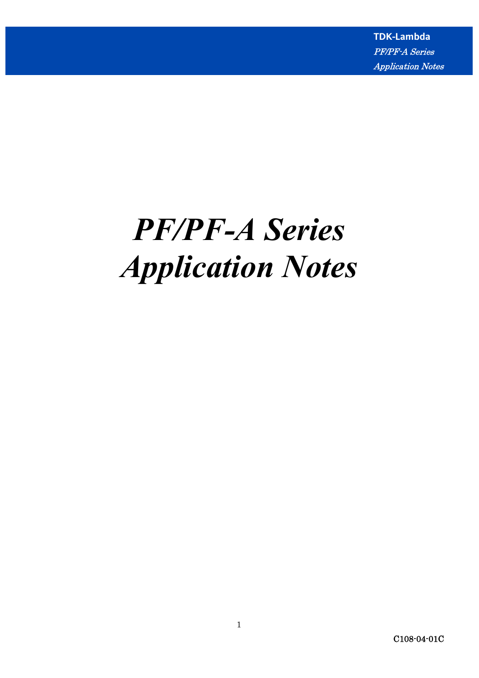# *PF/PF-A Series Application Notes*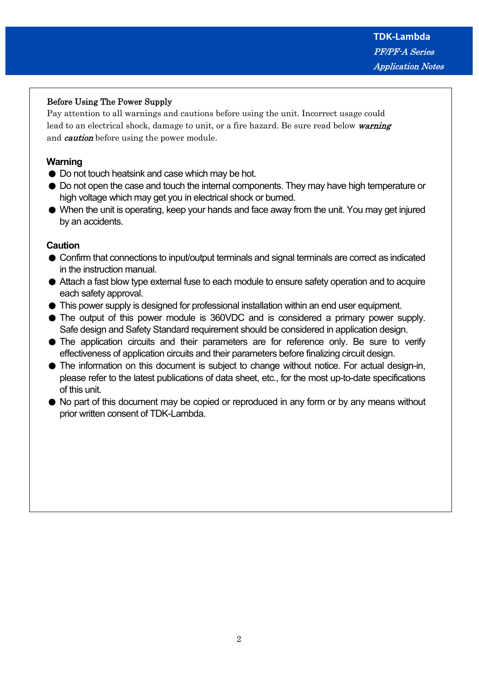# Before Using The Power Supply

 Pay attention to all warnings and cautions before using the unit. Incorrect usage could lead to an electrical shock, damage to unit, or a fire hazard. Be sure read below warning and *caution* before using the power module.

# **Warning**

- Do not touch heatsink and case which may be hot.
- Do not open the case and touch the internal components. They may have high temperature or high voltage which may get you in electrical shock or burned.
- When the unit is operating, keep your hands and face away from the unit. You may get injured by an accidents.

## **Caution**

- $\bullet$  Confirm that connections to input/output terminals and signal terminals are correct as indicated in the instruction manual.
- Attach a fast blow type external fuse to each module to ensure safety operation and to acquire each safety approval.
- This power supply is designed for professional installation within an end user equipment.
- The output of this power module is 360VDC and is considered a primary power supply. Safe design and Safety Standard requirement should be considered in application design.
- The application circuits and their parameters are for reference only. Be sure to verify effectiveness of application circuits and their parameters before finalizing circuit design.
- The information on this document is subject to change without notice. For actual design-in, please refer to the latest publications of data sheet, etc., for the most up-to-date specifications of this unit.
- No part of this document may be copied or reproduced in any form or by any means without prior written consent of TDK-Lambda.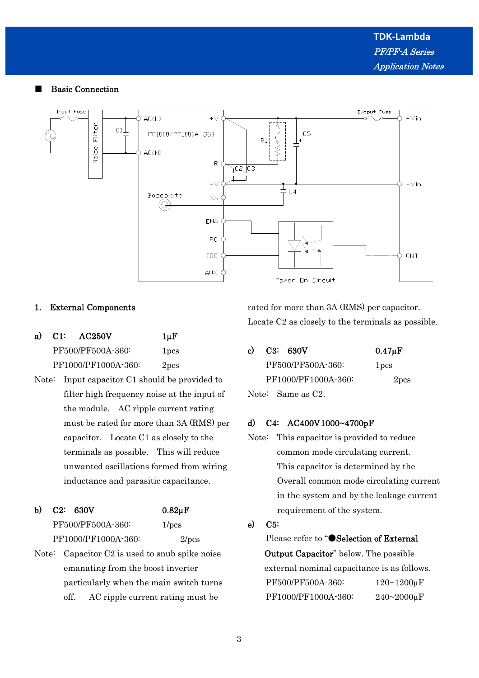#### ■ Basic Connection



## 1. External Components

| a) | $C1$ : | AC250V              | $1 \mu F$        |
|----|--------|---------------------|------------------|
|    |        | PF500/PF500A-360:   | <sub>1</sub> pcs |
|    |        | PF1000/PF1000A-360: | 2pcs             |

Note: Input capacitor C1 should be provided to filter high frequency noise at the input of the module. AC ripple current rating must be rated for more than 3A (RMS) per capacitor. Locate C1 as closely to the terminals as possible. This will reduce unwanted oscillations formed from wiring inductance and parasitic capacitance.

# b) C2:  $630V$  0.82 $\mu$ F PF500/PF500A-360: 1/pcs PF1000/PF1000A-360: 2/pcs

Note: Capacitor C2 is used to snub spike noise emanating from the boost inverter particularly when the main switch turns off. AC ripple current rating must be

rated for more than 3A (RMS) per capacitor. Locate C2 as closely to the terminals as possible.

| c) | C3: 630V            | $0.47 \mu F$     |
|----|---------------------|------------------|
|    | PF500/PF500A-360:   | 1 <sub>pcs</sub> |
|    | PF1000/PF1000A-360: | 2pcs             |
|    | Note: Same as C2.   |                  |

## d) C4: AC400V 1000~4700pF

Note: This capacitor is provided to reduce common mode circulating current. This capacitor is determined by the Overall common mode circulating current in the system and by the leakage current requirement of the system.

## e) C5:

Please refer to "●Selection of External Output Capacitor" below. The possible external nominal capacitance is as follows. PF500/PF500A-360: 120~1200uF PF1000/PF1000A-360: 240~2000µF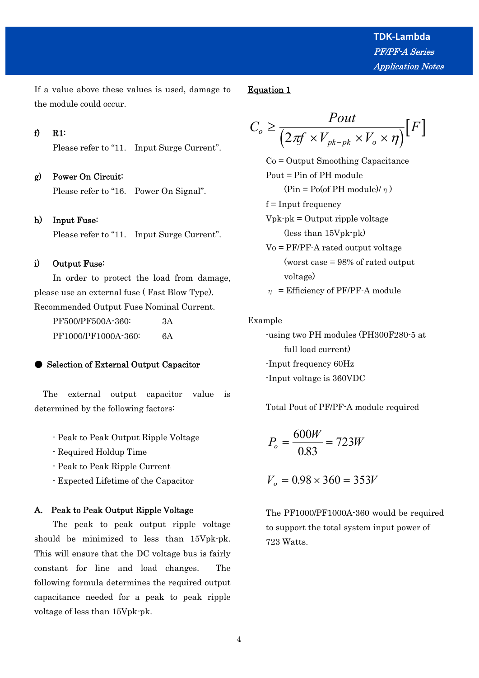If a value above these values is used, damage to the module could occur.

Equation 1

$$
C_o \ge \frac{Pout}{\left(2\pi f \times V_{pk-pk} \times V_o \times \eta\right)} [F]
$$

- Co = Output Smoothing Capacitance Pout = Pin of PH module  $(\text{Pin} = \text{Po}(\text{of PH module})/n)$  $f = Input frequency$
- $V$ <sub>pk</sub>-pk = Output ripple voltage (less than 15Vpk-pk)
- Vo = PF/PF-A rated output voltage (worst case = 98% of rated output voltage)

 $\eta$  = Efficiency of PF/PF-A module

## Example

 -using two PH modules (PH300F280-5 at full load current) -Input frequency 60Hz -Input voltage is 360VDC

Total Pout of PF/PF-A module required

$$
P_o = \frac{600W}{0.83} = 723W
$$

 $V_0 = 0.98 \times 360 = 353V$ 

 The PF1000/PF1000A-360 would be required to support the total system input power of 723 Watts.

## f) R1:

Please refer to "11. Input Surge Current".

## g) Power On Circuit:

Please refer to "16. Power On Signal".

## h) Input Fuse:

Please refer to "11. Input Surge Current".

## i) Output Fuse:

 In order to protect the load from damage, please use an external fuse ( Fast Blow Type). Recommended Output Fuse Nominal Current. PF500/PF500A-360: 3A

PF1000/PF1000A-360: 6A

## ● Selection of External Output Capacitor

 The external output capacitor value is determined by the following factors:

- Peak to Peak Output Ripple Voltage
- Required Holdup Time
- Peak to Peak Ripple Current
- Expected Lifetime of the Capacitor

#### A. Peak to Peak Output Ripple Voltage

 The peak to peak output ripple voltage should be minimized to less than 15Vpk-pk. This will ensure that the DC voltage bus is fairly constant for line and load changes. The following formula determines the required output capacitance needed for a peak to peak ripple voltage of less than 15Vpk-pk.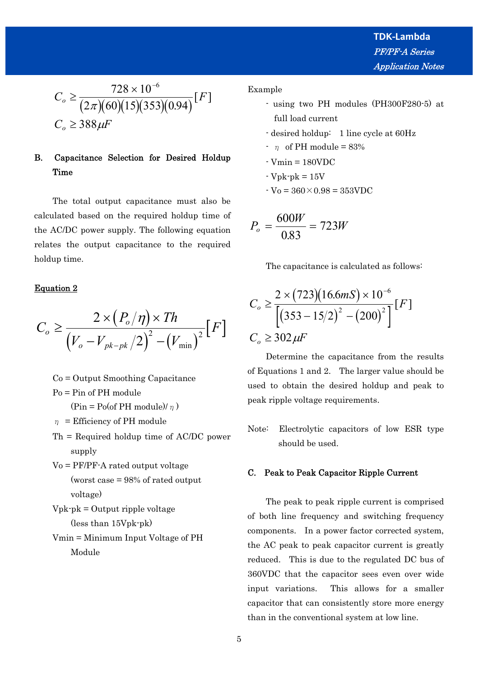$$
C_o \ge \frac{728 \times 10^{-6}}{(2\pi)(60)(15)(353)(0.94)} [F]
$$
  

$$
C_o \ge 388 \,\mu\text{F}
$$

# B. Capacitance Selection for Desired Holdup Time

 The total output capacitance must also be calculated based on the required holdup time of the AC/DC power supply. The following equation relates the output capacitance to the required holdup time.

## Equation 2

$$
C_o \geq \frac{2 \times (P_o/\eta) \times Th}{(V_o - V_{pk-pk}/2)^2 - (V_{\min})^2} [F]
$$

- Co = Output Smoothing Capacitance
- Po = Pin of PH module

 $(\text{Pin} = \text{Po}(\text{of PH module})/\eta)$ 

- $\eta$  = Efficiency of PH module
- Th = Required holdup time of AC/DC power supply
- Vo = PF/PF-A rated output voltage (worst case = 98% of rated output voltage)

```
Vpk-pk = Output ripple voltage
(less than 15Vpk-pk)
```
 Vmin = Minimum Input Voltage of PH Module

Example

- using two PH modules (PH300F280-5) at full load current
- desired holdup: 1 line cycle at 60Hz
- $\cdot$  n of PH module = 83%
- $-Vmin = 180VDC$
- $-Vpk-pk = 15V$
- $-V_0 = 360 \times 0.98 = 353 \text{VDC}$

$$
P_o = \frac{600W}{0.83} = 723W
$$

The capacitance is calculated as follows:

$$
C_o \ge \frac{2 \times (723)(16.6 \text{mS}) \times 10^{-6}}{\left[ (353 - 15/2)^2 - (200)^2 \right]} [F]
$$
  

$$
C_o \ge 302 \,\mu\text{F}
$$

 Determine the capacitance from the results of Equations 1 and 2. The larger value should be used to obtain the desired holdup and peak to peak ripple voltage requirements.

Note: Electrolytic capacitors of low ESR type should be used.

## C. Peak to Peak Capacitor Ripple Current

 The peak to peak ripple current is comprised of both line frequency and switching frequency components. In a power factor corrected system, the AC peak to peak capacitor current is greatly reduced. This is due to the regulated DC bus of 360VDC that the capacitor sees even over wide input variations. This allows for a smaller capacitor that can consistently store more energy than in the conventional system at low line.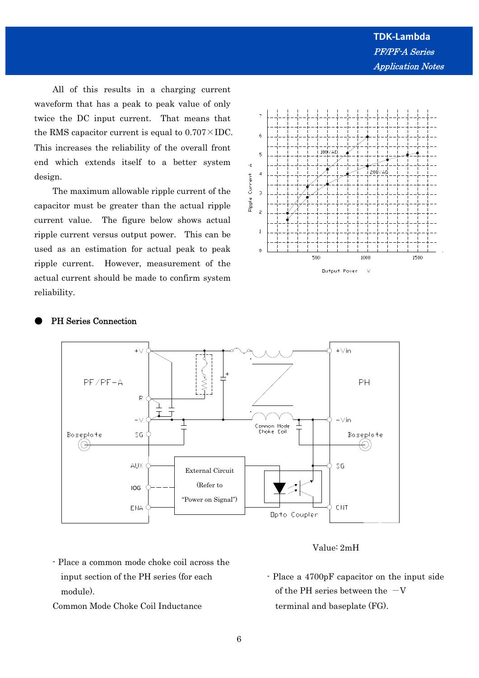All of this results in a charging current waveform that has a peak to peak value of only twice the DC input current. That means that the RMS capacitor current is equal to  $0.707 \times \text{IDC}$ . This increases the reliability of the overall front end which extends itself to a better system design.

 The maximum allowable ripple current of the capacitor must be greater than the actual ripple current value. The figure below shows actual ripple current versus output power. This can be used as an estimation for actual peak to peak ripple current. However, measurement of the actual current should be made to confirm system reliability.



## PH Series Connection



## Value: 2mH

- Place a common mode choke coil across the input section of the PH series (for each module).
- Common Mode Choke Coil Inductance
- Place a 4700pF capacitor on the input side of the PH series between the  $-V$ terminal and baseplate (FG).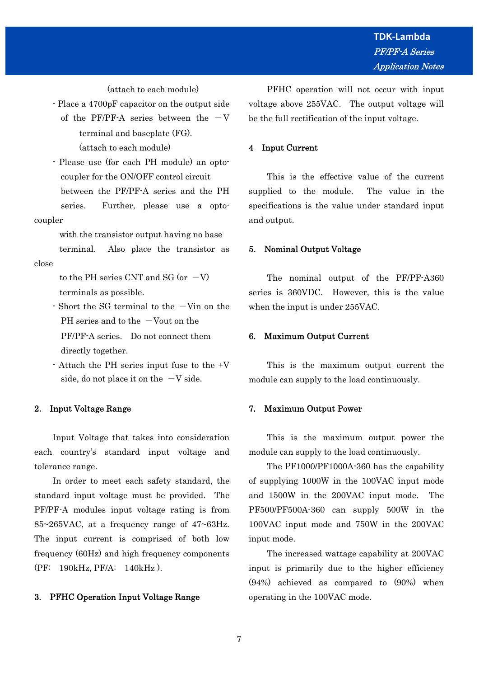(attach to each module)

- Place a 4700pF capacitor on the output side of the PF/PF-A series between the  $-V$  terminal and baseplate (FG). (attach to each module)
- Please use (for each PH module) an opto coupler for the ON/OFF control circuit between the PF/PF-A series and the PH series. Further, please use a optocoupler

 with the transistor output having no base terminal. Also place the transistor as

to the PH series CNT and SG (or  $-V$ ) terminals as possible.

- $-$  Short the SG terminal to the  $-V$ in on the PH series and to the  $-Vout$  on the PF/PF-A series. Do not connect them directly together.
- Attach the PH series input fuse to the +V side, do not place it on the  $-V$  side.

## 2. Input Voltage Range

close

 Input Voltage that takes into consideration each country's standard input voltage and tolerance range.

 In order to meet each safety standard, the standard input voltage must be provided. The PF/PF-A modules input voltage rating is from 85~265VAC, at a frequency range of 47~63Hz. The input current is comprised of both low frequency (60Hz) and high frequency components (PF: 190kHz, PF/A: 140kHz ).

## 3. PFHC Operation Input Voltage Range

 PFHC operation will not occur with input voltage above 255VAC. The output voltage will be the full rectification of the input voltage.

## 4 Input Current

 This is the effective value of the current supplied to the module. The value in the specifications is the value under standard input and output.

## 5. Nominal Output Voltage

 The nominal output of the PF/PF-A360 series is 360VDC. However, this is the value when the input is under 255VAC.

#### 6. Maximum Output Current

 This is the maximum output current the module can supply to the load continuously.

#### 7. Maximum Output Power

 This is the maximum output power the module can supply to the load continuously.

 The PF1000/PF1000A-360 has the capability of supplying 1000W in the 100VAC input mode and 1500W in the 200VAC input mode. The PF500/PF500A-360 can supply 500W in the 100VAC input mode and 750W in the 200VAC input mode.

 The increased wattage capability at 200VAC input is primarily due to the higher efficiency (94%) achieved as compared to (90%) when operating in the 100VAC mode.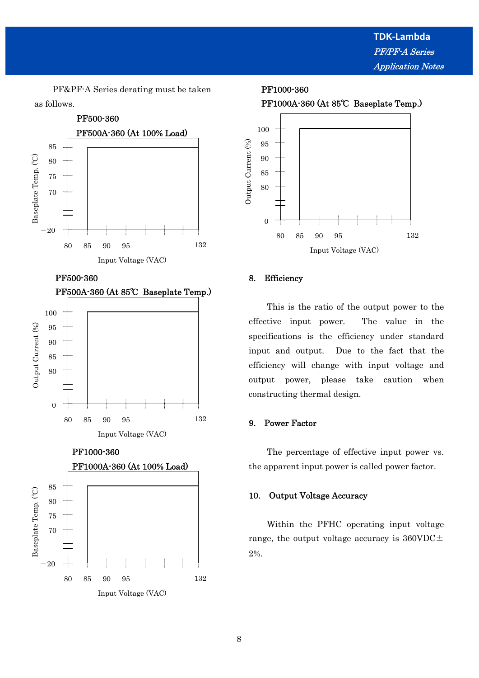PF&PF-A Series derating must be taken as follows.



PF500-360









## 8. Efficiency

 This is the ratio of the output power to the effective input power. The value in the specifications is the efficiency under standard input and output. Due to the fact that the efficiency will change with input voltage and output power, please take caution when constructing thermal design.

## 9. Power Factor

 The percentage of effective input power vs. the apparent input power is called power factor.

## 10. Output Voltage Accuracy

 Within the PFHC operating input voltage range, the output voltage accuracy is  $360VDC \pm$ 2%.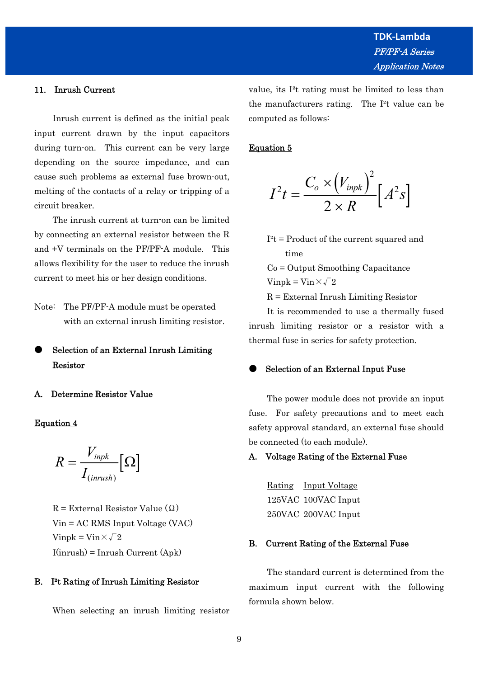#### 11. Inrush Current

 Inrush current is defined as the initial peak input current drawn by the input capacitors during turn-on. This current can be very large depending on the source impedance, and can cause such problems as external fuse brown-out, melting of the contacts of a relay or tripping of a circuit breaker.

 The inrush current at turn-on can be limited by connecting an external resistor between the R and +V terminals on the PF/PF-A module. This allows flexibility for the user to reduce the inrush current to meet his or her design conditions.

Note: The PF/PF-A module must be operated with an external inrush limiting resistor.

Selection of an External Inrush Limiting Resistor

## A. Determine Resistor Value

## Equation 4

$$
R = \frac{V_{\text{inpk}}}{I_{(\text{inrush})}} \big[ \Omega \big]
$$

 $R =$  External Resistor Value  $(Q)$  Vin = AC RMS Input Voltage (VAC) Vinpk = Vin $\times\sqrt{2}$  $I(inrush) = Inrush$  Current  $(Apk)$ 

#### B. I²t Rating of Inrush Limiting Resistor

When selecting an inrush limiting resistor

value, its I²t rating must be limited to less than the manufacturers rating. The I²t value can be computed as follows:

## Equation 5

$$
I^{2}t = \frac{C_{o} \times (V_{inpk})^{2}}{2 \times R} \Big[ A^{2}s \Big]
$$

 $I^2t$  = Product of the current squared and time

 Co = Output Smoothing Capacitance Vinpk = Vin $\times\sqrt{2}$ 

 $R =$  External Inrush Limiting Resistor

 It is recommended to use a thermally fused inrush limiting resistor or a resistor with a thermal fuse in series for safety protection.

## Selection of an External Input Fuse

 The power module does not provide an input fuse. For safety precautions and to meet each safety approval standard, an external fuse should be connected (to each module).

#### A. Voltage Rating of the External Fuse

 Rating Input Voltage 125VAC 100VAC Input 250VAC 200VAC Input

#### B. Current Rating of the External Fuse

 The standard current is determined from the maximum input current with the following formula shown below.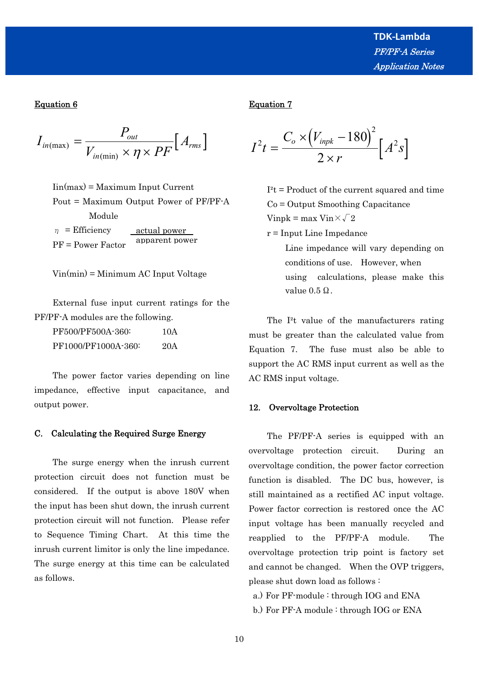## Equation 6

$$
I_{in(max)} = \frac{P_{out}}{V_{in(min)} \times \eta \times PF} [A_{rms}]
$$

 $\text{Iin}(\text{max}) = \text{Maximum Input Current}$  Pout = Maximum Output Power of PF/PF-A Module  $\eta$  = Efficiency actual power

 PF = Power Factor apparent power

Vin(min) = Minimum AC Input Voltage

 External fuse input current ratings for the PF/PF-A modules are the following.

| PF500/PF500A-360:   | 10A |
|---------------------|-----|
| PF1000/PF1000A-360: | 20A |

 The power factor varies depending on line impedance, effective input capacitance, and output power.

#### C. Calculating the Required Surge Energy

 The surge energy when the inrush current protection circuit does not function must be considered. If the output is above 180V when the input has been shut down, the inrush current protection circuit will not function. Please refer to Sequence Timing Chart. At this time the inrush current limitor is only the line impedance. The surge energy at this time can be calculated as follows.

## Equation 7

$$
I^{2}t = \frac{C_{o} \times (V_{\text{inpk}} - 180)^{2}}{2 \times r} \Big[ A^{2}s \Big]
$$

 $I^2t$  = Product of the current squared and time Co = Output Smoothing Capacitance Vinpk = max Vin $\times\sqrt{2}$ 

r = Input Line Impedance

 Line impedance will vary depending on conditions of use. However, when using calculations, please make this value  $0.5$  Ω.

 The I²t value of the manufacturers rating must be greater than the calculated value from Equation 7. The fuse must also be able to support the AC RMS input current as well as the AC RMS input voltage.

#### 12. Overvoltage Protection

 The PF/PF-A series is equipped with an overvoltage protection circuit. During an overvoltage condition, the power factor correction function is disabled. The DC bus, however, is still maintained as a rectified AC input voltage. Power factor correction is restored once the AC input voltage has been manually recycled and reapplied to the PF/PF-A module. The overvoltage protection trip point is factory set and cannot be changed. When the OVP triggers, please shut down load as follows :

- a.) For PF-module : through IOG and ENA
- b.) For PF-A module : through IOG or ENA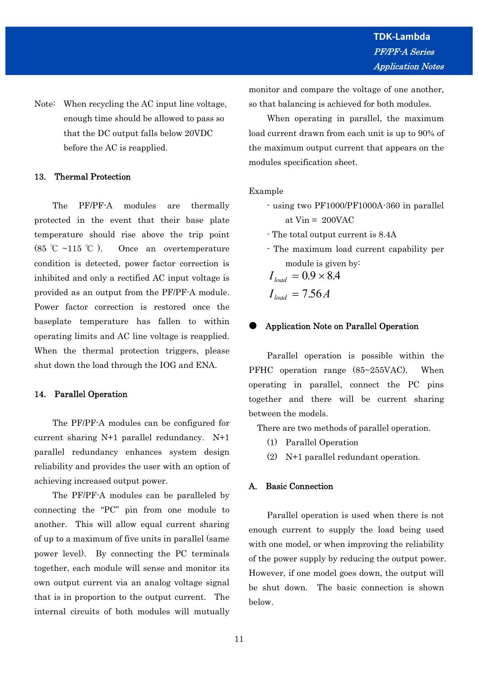Note: When recycling the AC input line voltage, enough time should be allowed to pass so that the DC output falls below 20VDC before the AC is reapplied.

## 13. Thermal Protection

 The PF/PF-A modules are thermally protected in the event that their base plate temperature should rise above the trip point (85 °C ~115 °C). Once an overtemperature condition is detected, power factor correction is inhibited and only a rectified AC input voltage is provided as an output from the PF/PF-A module. Power factor correction is restored once the baseplate temperature has fallen to within operating limits and AC line voltage is reapplied. When the thermal protection triggers, please shut down the load through the IOG and ENA.

## 14. Parallel Operation

 The PF/PF-A modules can be configured for current sharing N+1 parallel redundancy. N+1 parallel redundancy enhances system design reliability and provides the user with an option of achieving increased output power.

 The PF/PF-A modules can be paralleled by connecting the "PC" pin from one module to another. This will allow equal current sharing of up to a maximum of five units in parallel (same power level). By connecting the PC terminals together, each module will sense and monitor its own output current via an analog voltage signal that is in proportion to the output current. The internal circuits of both modules will mutually

monitor and compare the voltage of one another, so that balancing is achieved for both modules.

 When operating in parallel, the maximum load current drawn from each unit is up to 90% of the maximum output current that appears on the modules specification sheet.

#### Example

- using two PF1000/PF1000A-360 in parallel at  $Vin = 200VAC$
- The total output current is 8.4A
- The maximum load current capability per module is given by:

$$
I_{load} = 0.9 \times 8.4
$$

$$
I_{load} = 7.56 A
$$

#### Application Note on Parallel Operation

 Parallel operation is possible within the PFHC operation range (85~255VAC). When operating in parallel, connect the PC pins together and there will be current sharing between the models.

There are two methods of parallel operation.

- (1) Parallel Operation
- (2) N+1 parallel redundant operation.

## A. Basic Connection

 Parallel operation is used when there is not enough current to supply the load being used with one model, or when improving the reliability of the power supply by reducing the output power. However, if one model goes down, the output will be shut down. The basic connection is shown below.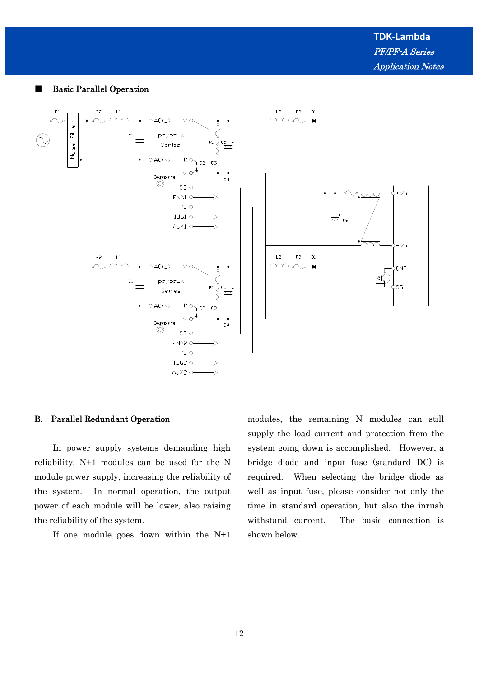

## ■ Basic Parallel Operation

## B. Parallel Redundant Operation

 In power supply systems demanding high reliability, N+1 modules can be used for the N module power supply, increasing the reliability of the system. In normal operation, the output power of each module will be lower, also raising the reliability of the system.

If one module goes down within the N+1

modules, the remaining N modules can still supply the load current and protection from the system going down is accomplished. However, a bridge diode and input fuse (standard DC) is required. When selecting the bridge diode as well as input fuse, please consider not only the time in standard operation, but also the inrush withstand current. The basic connection is shown below.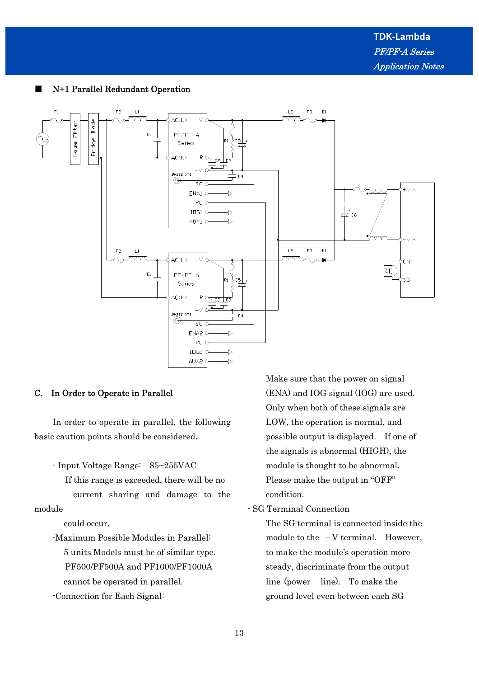

## N+1 Parallel Redundant Operation

## C. In Order to Operate in Parallel

 In order to operate in parallel, the following basic caution points should be considered.

- Input Voltage Range: 85~255VAC

If this range is exceeded, there will be no

 current sharing and damage to the module

could occur.

 -Maximum Possible Modules in Parallel: 5 units Models must be of similar type. PF500/PF500A and PF1000/PF1000A cannot be operated in parallel.

-Connection for Each Signal:

 Make sure that the power on signal (ENA) and IOG signal (IOG) are used. Only when both of these signals are LOW, the operation is normal, and possible output is displayed. If one of the signals is abnormal (HIGH), the module is thought to be abnormal. Please make the output in "OFF" condition.

- SG Terminal Connection

 The SG terminal is connected inside the module to the  $-V$  terminal. However, to make the module's operation more steady, discriminate from the output line (power line). To make the ground level even between each SG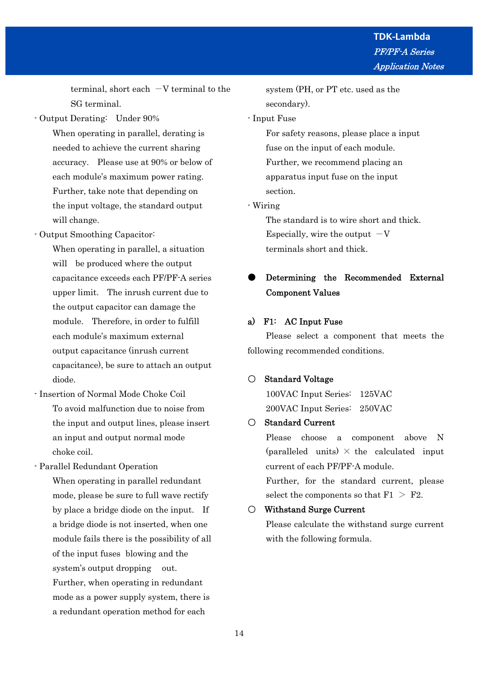terminal, short each  $-V$  terminal to the SG terminal.

- Output Derating: Under 90%

 When operating in parallel, derating is needed to achieve the current sharing accuracy. Please use at 90% or below of each module's maximum power rating. Further, take note that depending on the input voltage, the standard output will change.

- Output Smoothing Capacitor:

 When operating in parallel, a situation will be produced where the output capacitance exceeds each PF/PF-A series upper limit. The inrush current due to the output capacitor can damage the module. Therefore, in order to fulfill each module's maximum external output capacitance (inrush current capacitance), be sure to attach an output diode.

- Insertion of Normal Mode Choke Coil To avoid malfunction due to noise from the input and output lines, please insert an input and output normal mode choke coil.

- Parallel Redundant Operation

 When operating in parallel redundant mode, please be sure to full wave rectify by place a bridge diode on the input. If a bridge diode is not inserted, when one module fails there is the possibility of all of the input fuses blowing and the system's output dropping out. Further, when operating in redundant mode as a power supply system, there is a redundant operation method for each

 system (PH, or PT etc. used as the secondary).

## - Input Fuse

 For safety reasons, please place a input fuse on the input of each module. Further, we recommend placing an apparatus input fuse on the input section.

- Wiring

 The standard is to wire short and thick. Especially, wire the output  $-V$ terminals short and thick.

# ● Determining the Recommended External Component Values

## a) F1: AC Input Fuse

 Please select a component that meets the following recommended conditions.

## ○ Standard Voltage

 100VAC Input Series: 125VAC 200VAC Input Series: 250VAC

## ○ Standard Current

 Please choose a component above N (paralleled units)  $\times$  the calculated input current of each PF/PF-A module.

 Further, for the standard current, please select the components so that  $F1 > F2$ .

## ○ Withstand Surge Current

 Please calculate the withstand surge current with the following formula.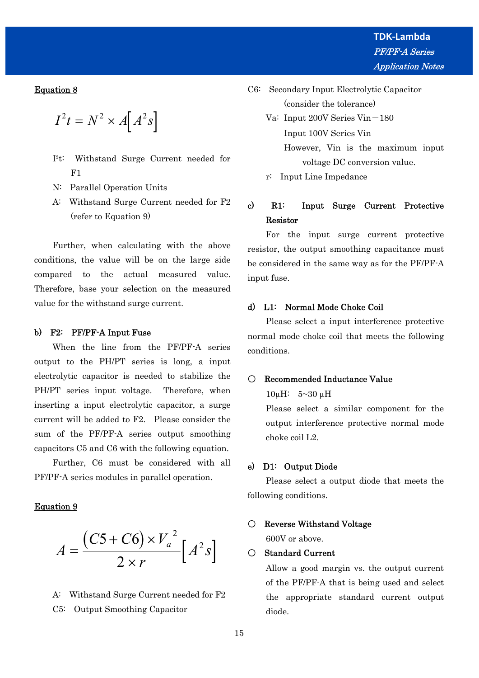## Equation 8

$$
I^2t = N^2 \times A[A^2s]
$$

- I²t: Withstand Surge Current needed for F1
- N: Parallel Operation Units
- A: Withstand Surge Current needed for F2 (refer to Equation 9)

 Further, when calculating with the above conditions, the value will be on the large side compared to the actual measured value. Therefore, base your selection on the measured value for the withstand surge current.

#### b) F2: PF/PF-A Input Fuse

 When the line from the PF/PF-A series output to the PH/PT series is long, a input electrolytic capacitor is needed to stabilize the PH/PT series input voltage. Therefore, when inserting a input electrolytic capacitor, a surge current will be added to F2. Please consider the sum of the PF/PF-A series output smoothing capacitors C5 and C6 with the following equation.

 Further, C6 must be considered with all PF/PF-A series modules in parallel operation.

#### Equation 9

$$
A = \frac{(C5 + C6) \times V_a^2}{2 \times r} \left[A^2 s\right]
$$

 A: Withstand Surge Current needed for F2 C5: Output Smoothing Capacitor

- C6: Secondary Input Electrolytic Capacitor (consider the tolerance)
	- Va: Input 200V Series Vin-180 Input 100V Series Vin However, Vin is the maximum input voltage DC conversion value.

r: Input Line Impedance

# c) R1: Input Surge Current Protective Resistor

 For the input surge current protective resistor, the output smoothing capacitance must be considered in the same way as for the PF/PF-A input fuse.

## d) L1: Normal Mode Choke Coil

 Please select a input interference protective normal mode choke coil that meets the following conditions.

## ○ Recommended Inductance Value

10µH: 5~30 µH

 Please select a similar component for the output interference protective normal mode choke coil L2.

## e) D1: Output Diode

 Please select a output diode that meets the following conditions.

#### ○ Reverse Withstand Voltage

600V or above.

#### ○ Standard Current

 Allow a good margin vs. the output current of the PF/PF-A that is being used and select the appropriate standard current output diode.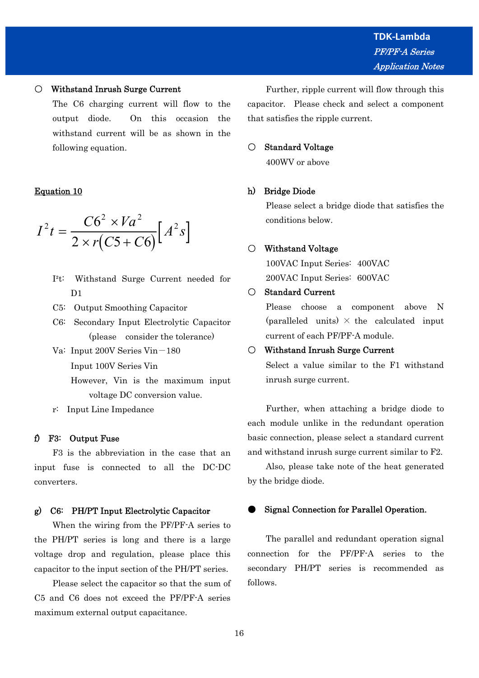## ○ Withstand Inrush Surge Current

 The C6 charging current will flow to the output diode. On this occasion the withstand current will be as shown in the following equation.

## Equation 10

$$
I^2 t = \frac{C6^2 \times Va^2}{2 \times r(C5 + C6)} \Big[ A^2 s \Big]
$$

- I²t: Withstand Surge Current needed for D<sub>1</sub>
- C5: Output Smoothing Capacitor
- C6: Secondary Input Electrolytic Capacitor (please consider the tolerance)
- Va: Input 200V Series Vin-180
	- Input 100V Series Vin
	- However, Vin is the maximum input voltage DC conversion value.
- r: Input Line Impedance

## f) F3: Output Fuse

 F3 is the abbreviation in the case that an input fuse is connected to all the DC-DC converters.

#### g) C6: PH/PT Input Electrolytic Capacitor

 When the wiring from the PF/PF-A series to the PH/PT series is long and there is a large voltage drop and regulation, please place this capacitor to the input section of the PH/PT series.

 Please select the capacitor so that the sum of C5 and C6 does not exceed the PF/PF-A series maximum external output capacitance.

 Further, ripple current will flow through this capacitor. Please check and select a component that satisfies the ripple current.

## ○ Standard Voltage

400WV or above

## h) Bridge Diode

 Please select a bridge diode that satisfies the conditions below.

#### ○ Withstand Voltage

 100VAC Input Series: 400VAC 200VAC Input Series: 600VAC

## ○ Standard Current

 Please choose a component above N (paralleled units)  $\times$  the calculated input current of each PF/PF-A module.

#### ○ Withstand Inrush Surge Current

 Select a value similar to the F1 withstand inrush surge current.

 Further, when attaching a bridge diode to each module unlike in the redundant operation basic connection, please select a standard current and withstand inrush surge current similar to F2.

 Also, please take note of the heat generated by the bridge diode.

## Signal Connection for Parallel Operation.

 The parallel and redundant operation signal connection for the PF/PF-A series to the secondary PH/PT series is recommended as follows.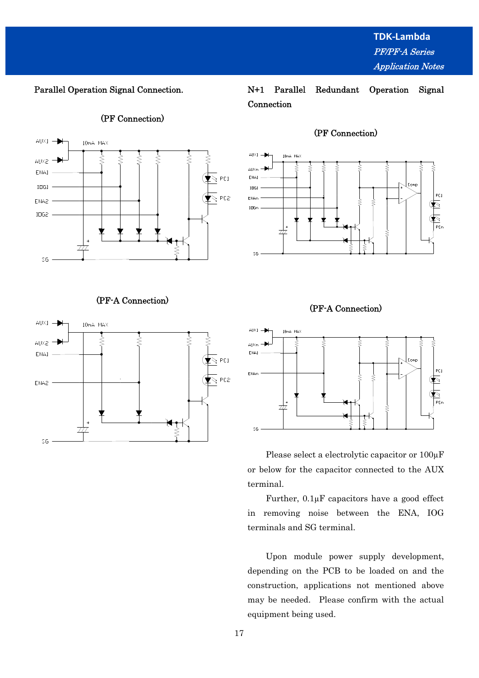Parallel Operation Signal Connection.

## (PF Connection)



# (PF-A Connection)



# N+1 Parallel Redundant Operation Signal Connection



## (PF Connection)





 Please select a electrolytic capacitor or 100µF or below for the capacitor connected to the AUX terminal.

 Further, 0.1µF capacitors have a good effect in removing noise between the ENA, IOG terminals and SG terminal.

 Upon module power supply development, depending on the PCB to be loaded on and the construction, applications not mentioned above may be needed. Please confirm with the actual equipment being used.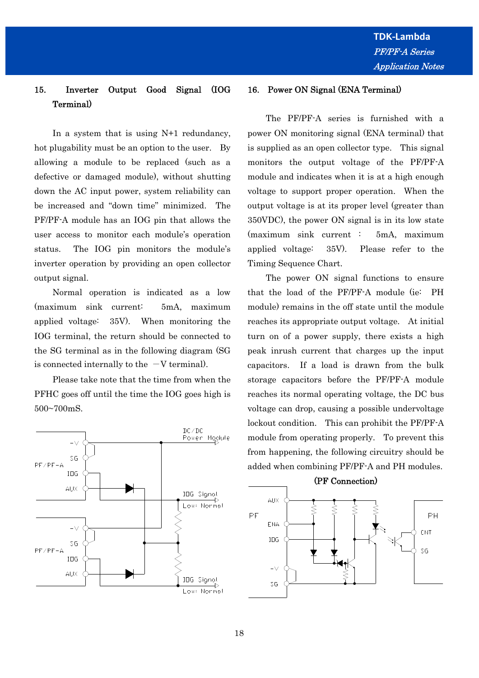# 15. Inverter Output Good Signal (IOG Terminal)

In a system that is using N+1 redundancy, hot plugability must be an option to the user. By allowing a module to be replaced (such as a defective or damaged module), without shutting down the AC input power, system reliability can be increased and "down time" minimized. The PF/PF-A module has an IOG pin that allows the user access to monitor each module's operation status. The IOG pin monitors the module's inverter operation by providing an open collector output signal.

 Normal operation is indicated as a low (maximum sink current: 5mA, maximum applied voltage: 35V). When monitoring the IOG terminal, the return should be connected to the SG terminal as in the following diagram (SG is connected internally to the  $-V$  terminal).

 Please take note that the time from when the PFHC goes off until the time the IOG goes high is 500~700mS.



## 16. Power ON Signal (ENA Terminal)

 The PF/PF-A series is furnished with a power ON monitoring signal (ENA terminal) that is supplied as an open collector type. This signal monitors the output voltage of the PF/PF-A module and indicates when it is at a high enough voltage to support proper operation. When the output voltage is at its proper level (greater than 350VDC), the power ON signal is in its low state (maximum sink current : 5mA, maximum applied voltage: 35V). Please refer to the Timing Sequence Chart.

 The power ON signal functions to ensure that the load of the PF/PF-A module (ie: PH module) remains in the off state until the module reaches its appropriate output voltage. At initial turn on of a power supply, there exists a high peak inrush current that charges up the input capacitors. If a load is drawn from the bulk storage capacitors before the PF/PF-A module reaches its normal operating voltage, the DC bus voltage can drop, causing a possible undervoltage lockout condition. This can prohibit the PF/PF-A module from operating properly. To prevent this from happening, the following circuitry should be added when combining PF/PF-A and PH modules.



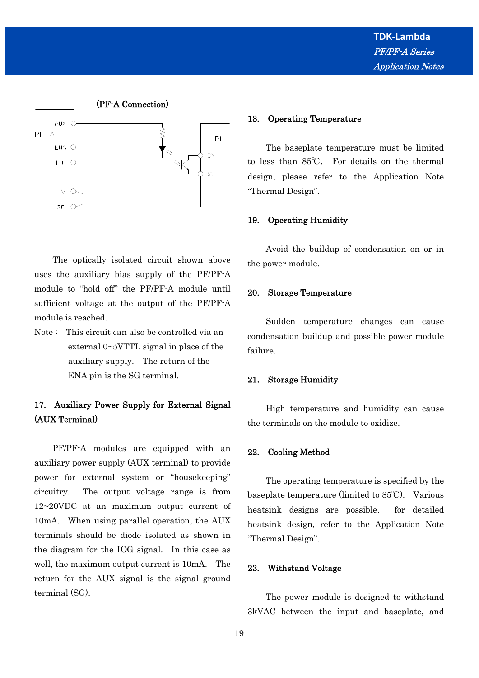

 The optically isolated circuit shown above uses the auxiliary bias supply of the PF/PF-A module to "hold off" the PF/PF-A module until sufficient voltage at the output of the PF/PF-A module is reached.

Note : This circuit can also be controlled via an external 0~5VTTL signal in place of the auxiliary supply. The return of the ENA pin is the SG terminal.

# 17. Auxiliary Power Supply for External Signal (AUX Terminal)

 PF/PF-A modules are equipped with an auxiliary power supply (AUX terminal) to provide power for external system or "housekeeping" circuitry. The output voltage range is from 12~20VDC at an maximum output current of 10mA. When using parallel operation, the AUX terminals should be diode isolated as shown in the diagram for the IOG signal. In this case as well, the maximum output current is 10mA. The return for the AUX signal is the signal ground terminal (SG).

#### 18. Operating Temperature

 The baseplate temperature must be limited to less than 85℃. For details on the thermal design, please refer to the Application Note "Thermal Design".

#### 19. Operating Humidity

 Avoid the buildup of condensation on or in the power module.

#### 20. Storage Temperature

 Sudden temperature changes can cause condensation buildup and possible power module failure.

#### 21. Storage Humidity

 High temperature and humidity can cause the terminals on the module to oxidize.

#### 22. Cooling Method

 The operating temperature is specified by the baseplate temperature (limited to 85℃). Various heatsink designs are possible. for detailed heatsink design, refer to the Application Note "Thermal Design".

## 23. Withstand Voltage

 The power module is designed to withstand 3kVAC between the input and baseplate, and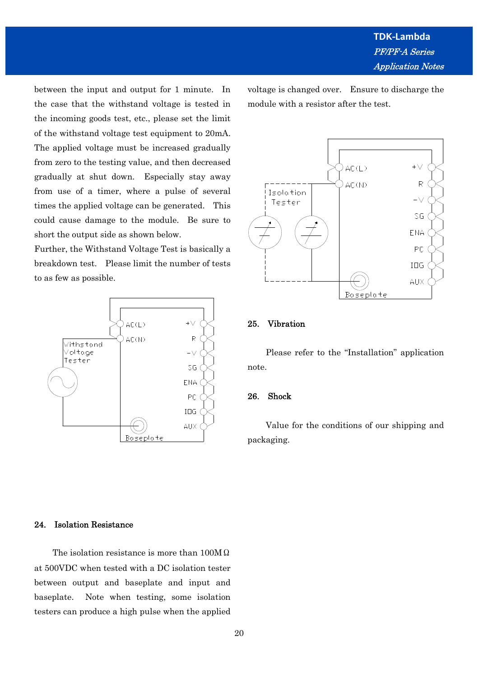between the input and output for 1 minute. In the case that the withstand voltage is tested in the incoming goods test, etc., please set the limit of the withstand voltage test equipment to 20mA. The applied voltage must be increased gradually from zero to the testing value, and then decreased gradually at shut down. Especially stay away from use of a timer, where a pulse of several times the applied voltage can be generated. This could cause damage to the module. Be sure to short the output side as shown below.

Further, the Withstand Voltage Test is basically a breakdown test. Please limit the number of tests to as few as possible.



voltage is changed over. Ensure to discharge the module with a resistor after the test.



## 25. Vibration

 Please refer to the "Installation" application note.

#### 26. Shock

 Value for the conditions of our shipping and packaging.

## 24. Isolation Resistance

 The isolation resistance is more than 100MΩ at 500VDC when tested with a DC isolation tester between output and baseplate and input and baseplate. Note when testing, some isolation testers can produce a high pulse when the applied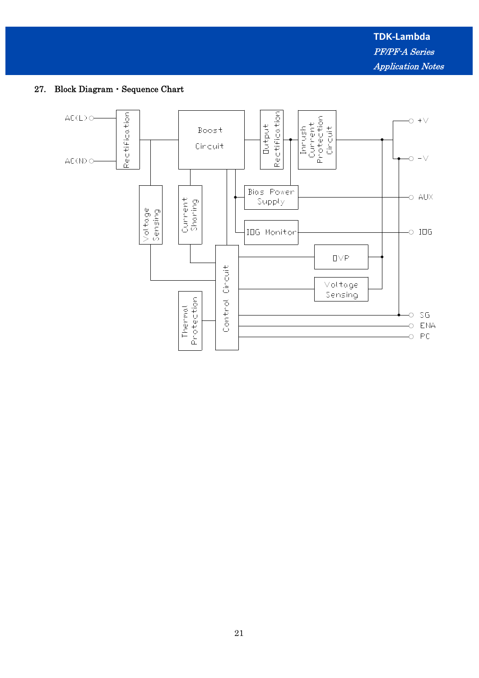# 27. Block Diagram・Sequence Chart

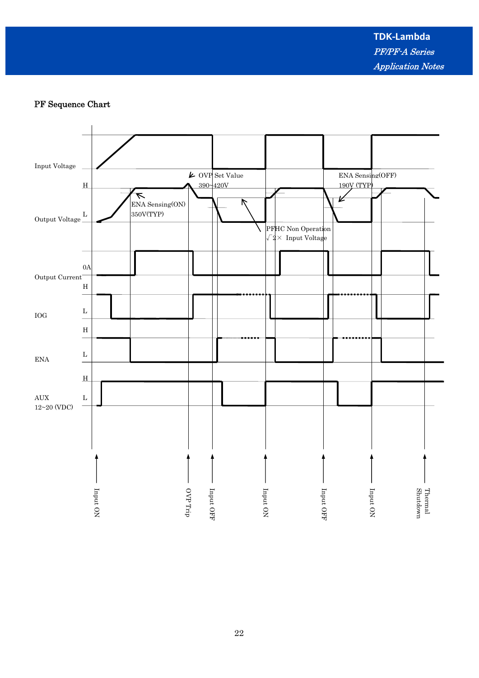**TDK-Lambda** PF/PF-A Series Application Notes

# PF Sequence Chart

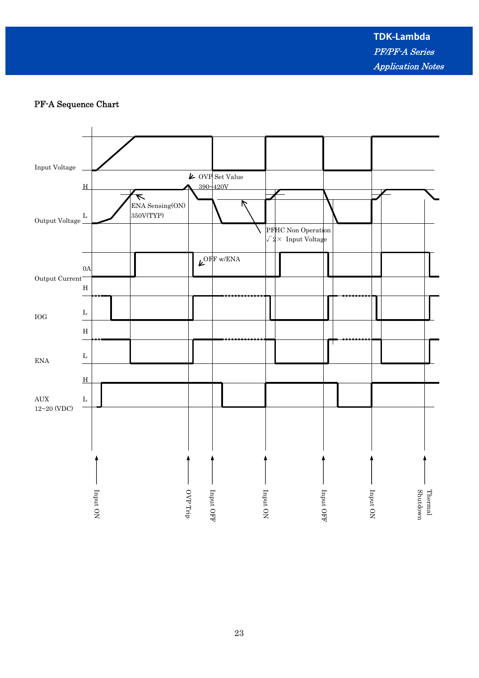**TDK-Lambda** PF/PF-A Series Application Notes

# PF-A Sequence Chart